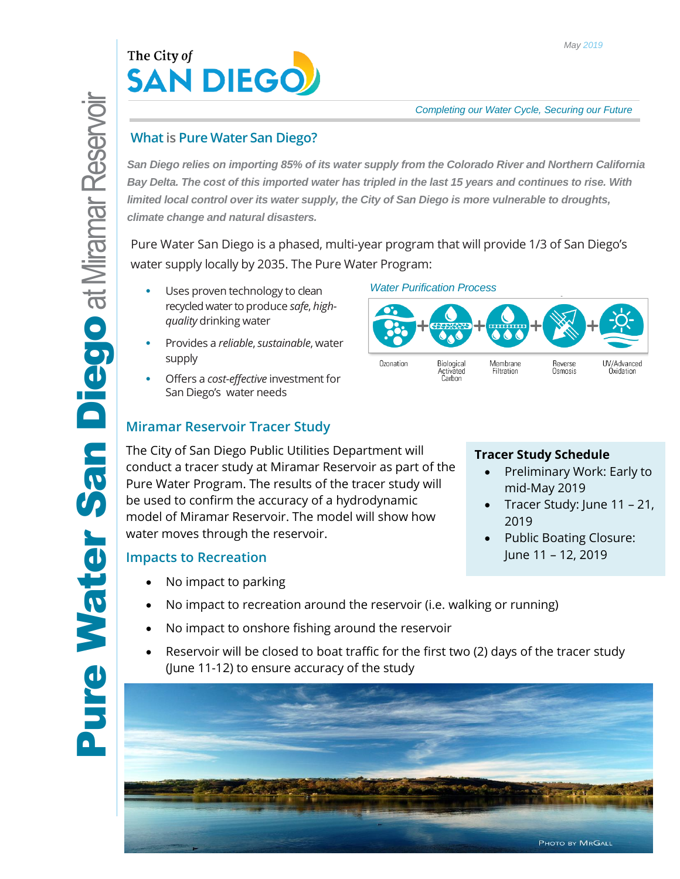

# **What is Pure Water San Diego?**

*San Diego relies on importing 85% of its water supply from the Colorado River and Northern California Bay Delta. The cost of this imported water has tripled in the last 15 years and continues to rise. With limited local control over its water supply, the City of San Diego is more vulnerable to droughts, climate change and natural disasters.*

Pure Water San Diego is a phased, multi-year program that will provide 1/3 of San Diego's water supply locally by 2035. The Pure Water Program:

*Water Purification Process*

- Uses proven technology to clean recycled water to produce *safe*, *highquality* drinking water
- Provides a *reliable*, *sustainable*, water supply
- Offers a *cost-effective* investment for San Diego's water needs

## **Miramar Reservoir Tracer Study**

The City of San Diego Public Utilities Department will conduct a tracer study at Miramar Reservoir as part of the Pure Water Program. The results of the tracer study will be used to confirm the accuracy of a hydrodynamic model of Miramar Reservoir. The model will show how water moves through the reservoir.

## **Impacts to Recreation**

- No impact to parking
- No impact to recreation around the reservoir (i.e. walking or running)
- No impact to onshore fishing around the reservoir
- Reservoir will be closed to boat traffic for the first two (2) days of the tracer study (June 11-12) to ensure accuracy of the study





### **Tracer Study Schedule**

- Preliminary Work: Early to mid-May 2019
- Tracer Study: June 11 21, 2019
- Public Boating Closure: June 11 – 12, 2019